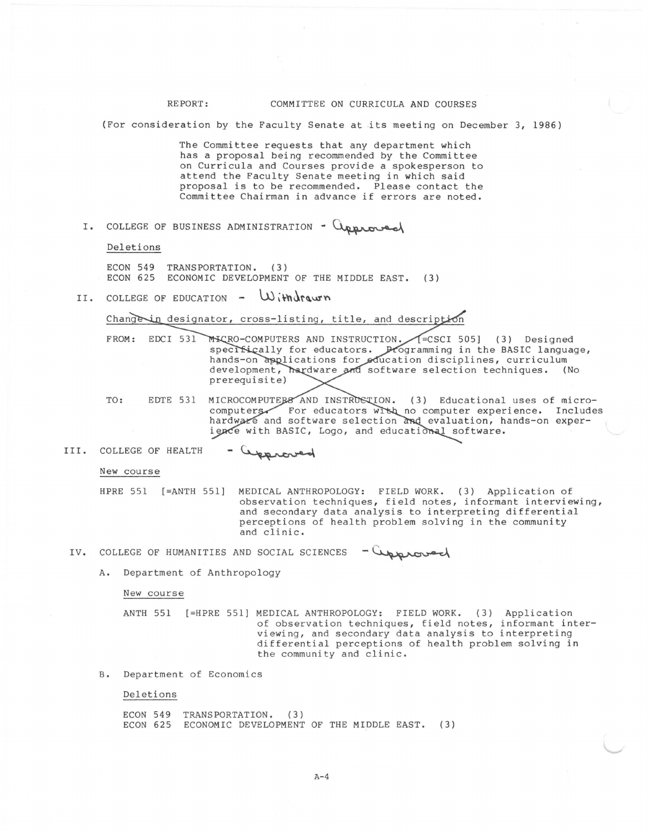## REPORT: COMMITTEE ON CURRICULA AND COURSES

{For consideration by the Faculty Senate at its meeting on December 3, 1986}

The Committee requests that any department which has a proposal being recommended by the Committee on Curricula and Courses provide a spokesperson to attend the Faculty Senate meeting in which said proposal is to be recommended. Please contact the Committee Chairman in advance if errors are noted.

I. COLLEGE OF BUSINESS ADMINISTRATION -  $Q_{\text{approx}}$ 

Deletions

ECON 549 TRANSPORTATION. (3} ECON 625 ECONOMIC DEVELOPMENT OF THE MIDDLE EAST. (3)

II. COLLEGE OF EDUCATION - Withdrawn

Change in designator, cross-listing, title, and description

- FROM: EDCI 531 505] ( 3) Designed ogramming in the BASIC language, ucation disciplines, curriculum software selection techniques. (No prerequisite)
- TO: EDTE 531 MICROCOMPUTERS AND INSTRUSTION. (3) Educational uses of micro-For educators with no computer experience. Includes hardware and software selection and evaluation, hands-on experience with BASIC, Logo, and educational software.

New course

HPRE 551 [=ANTH 551] MEDICAL ANTHROPOLOGY: FIELD WORK. (3) Application of observation techniques, field notes, informant interviewing, and secondary data analysis to interpreting differential perceptions of health problem solving in the community and clinic. observation techniques, field notes, informant<br>and secondary data analysis to interpreting different and secondary data analysis to interpreting differences<br>and clinic.<br>AND SOCIAL SCIENCES - Cupproved

- IV. COLLEGE OF HUMANITIES
	- A. Department of Anthropology

New course

ANTH 551 [=HPRE 551] MEDICAL ANTHROPOLOGY: FIELD WORK. (3) Application of observation techniques, field notes, informant interviewing, and secondary data analysis to interpreting differential perceptions of health problem solving in the community and clinic.

B. Department of Economics

Deletions

ECON 549 TRANSPORTATION. (3) ECON 625 ECONOMIC DEVELOPMENT OF THE MIDDLE EAST. { 3)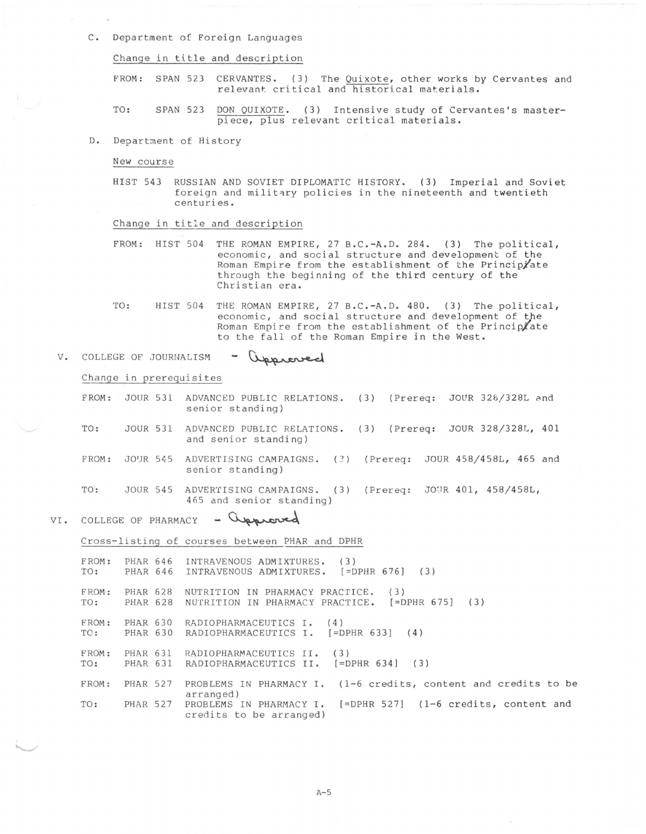C. Department *o[* Foreign Languages

Change in title and description

FROM: SPAN 523 CERVANTES. (3) The Quixote, other works by Cervantes and relevant critical and historical materials.

TO: SPAN 523 DON QUIXOTE. (3) Intensive study of Cervantes's masterpiece, plus relevant critical materials.

D. Department of History

New course

HIST 543 RUSSIAN AND SOVIET DIPLOMATIC HISTORY. (3) Imperial and Soviet foreign and military policies in the nineteenth and twentieth centuries.

Change in title and description

FROM: HIST 504 THE ROMAN EMPIRE, 27 B.C.-A.D. 284. (3) The political, economic, and social structure and development of the Roman Empire from the establishment of the Principiate through the beginning of the third century of the Christian era.

TO: HIST 504 THE ROMAN EMPIRE, 27 B.C.-A.D. 480. (3) The political, economic, and social structure and development of the Roman Empire from the establishment of the Principlate to the fall of the Roman Empire in the West.

## V. COLLEGE OF JOURNALISM approved

Change in prerequisites

FROM: JOUR 531 ADVANCED PUBLIC RELATIONS. (3) (Prereq: JOUR 328/328L and senior standing)

- TO: JOUR 531 ADVANCED PUBLIC RELATIONS. (3) (Prereq: JOUR 328/328L, 401 and senior standing)
- FROM: JOUR 545 ADVERTISING CAMPAIGNS. (3) (Prereq: JOUR 458/458L, 465 and senior standing)

TO: JOUR 545 ADVERTISING CAMPAIGNS. (3) (Prereq: JOUR 401, 458/458L, 165 and senior standing)<br>VI. COLLEGE OF PHARMACY - Quercal

Cross-listing of courses between PHAR and DPHR

FROM: PHAR 646 INTRAVENOUS ADMIXTURES. (3)<br>TO: PHAR 646 INTRAVENOUS ADMIXTURES. [=DPHR 676] (3) INTRAVENOUS ADMIXTURES. FROM: PHAR 628 NUTRITION IN PHARMACY PRACTICE. (3) TO: PHAR 628 NUTRITION IN PHARMACY PRACTICE. [=DPHR 675] (3) FROM: PHAR 630 RADIOPHARMACEUTICS I. (4)<br>TO: PHAR 630 RADIOPHARMACEUTICS I. [=DPHR 633] (4) RADIOPHARMACEUTICS I. FROM: PHAR 631 RADIOPHARMACEUTICS II. (3)<br>TO: PHAR 631 RADIOPHARMACEUTICS II. [=DPHR 634] (3) RADIOPHARMACEUTICS II. FROM: PHAR 527 PROBLEMS IN PHARMACY I. (1-6 credits, content and credits to be arranged) TO: PHAR 527 PROBLEMS IN PHARMACY I. [=DPHR 527] (1-6 credits, content and credits to be arranged)

A-5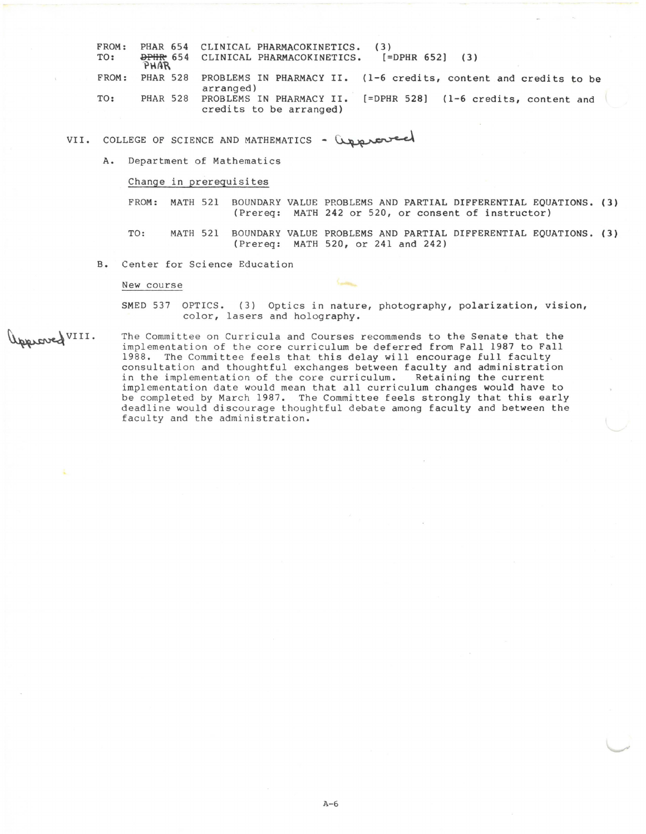| FROM: |                 | PHAR 654 CLINICAL PHARMACOKINETICS.                                                       |
|-------|-----------------|-------------------------------------------------------------------------------------------|
| TO:   | PHAR            | $[=DPHR 652] (3)$<br>DPHR 654 CLINICAL PHARMACOKINETICS.                                  |
|       |                 |                                                                                           |
| FROM: | <b>PHAR 528</b> | PROBLEMS IN PHARMACY II. (1-6 credits, content and credits to be                          |
|       |                 | arranged)                                                                                 |
| TO:   | <b>PHAR 528</b> | PROBLEMS IN PHARMACY II. [=DPHR 528] (1-6 credits, content and<br>credits to be arranged) |

VII. COLLEGE OF SCIENCE AND MATHEMATICS - Corporated

A. Department of Mathematics

Change in prerequisites

FROM: MATH 521 BOUNDARY VALUE PROBLEMS AND PARTIAL DIFFERENTIAL EQUATIONS. (3) (Prereq: MATH 242 or 520, or consent of instructor)

TO: MATH 521 BOUNDARY VALUE PROBLEMS AND PARTIAL DIFFERENTIAL EQUATIONS. (3) (Prereq: MATH 520, or 241 and 242)

B. Center for Science Education

New course

SMED 537 OPTICS. (3) Optics in nature, photography, polarization, vision, color, lasers and holography.

Upproved VIII.

The Committee on Curricula and Courses recommends to the Senate that the implementation of the core curriculum be deferred from Fall 1987 to Fall 1988. The Committee feels that this delay will encourage full faculty consultation and thoughtful exchanges between faculty and administration in the implementation of the core curriculum. Retaining the current implementation date would mean that all curriculum changes would have to be completed by March 1987. The Committee feels strongly that this early deadline would discourage thoughtful debate among faculty and between the faculty and the administration.